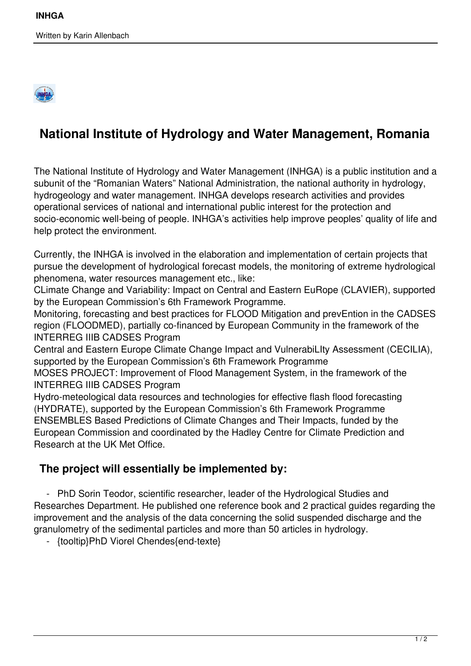

## **National Institute of Hydrology and Water Management, Romania**

The National Institute of Hydrology and Water Management (INHGA) is a public institution and a subunit of the "Romanian Waters" National Administration, the national authority in hydrology, hydrogeology and water management. INHGA develops research activities and provides operational services of national and international public interest for the protection and socio-economic well-being of people. INHGA's activities help improve peoples' quality of life and help protect the environment.

Currently, the INHGA is involved in the elaboration and implementation of certain projects that pursue the development of hydrological forecast models, the monitoring of extreme hydrological phenomena, water resources management etc., like:

CLimate Change and Variability: Impact on Central and Eastern EuRope (CLAVIER), supported by the European Commission's 6th Framework Programme.

Monitoring, forecasting and best practices for FLOOD Mitigation and prevEntion in the CADSES region (FLOODMED), partially co-financed by European Community in the framework of the INTERREG IIIB CADSES Program

Central and Eastern Europe Climate Change Impact and VulnerabiLIty Assessment (CECILIA), supported by the European Commission's 6th Framework Programme

MOSES PROJECT: Improvement of Flood Management System, in the framework of the INTERREG IIIB CADSES Program

Hydro-meteological data resources and technologies for effective flash flood forecasting (HYDRATE), supported by the European Commission's 6th Framework Programme ENSEMBLES Based Predictions of Climate Changes and Their Impacts, funded by the European Commission and coordinated by the Hadley Centre for Climate Prediction and Research at the UK Met Office.

## **The project will essentially be implemented by:**

 - PhD Sorin Teodor, scientific researcher, leader of the Hydrological Studies and Researches Department. He published one reference book and 2 practical guides regarding the improvement and the analysis of the data concerning the solid suspended discharge and the granulometry of the sedimental particles and more than 50 articles in hydrology.

- {tooltip}PhD Viorel Chendes{end-texte}